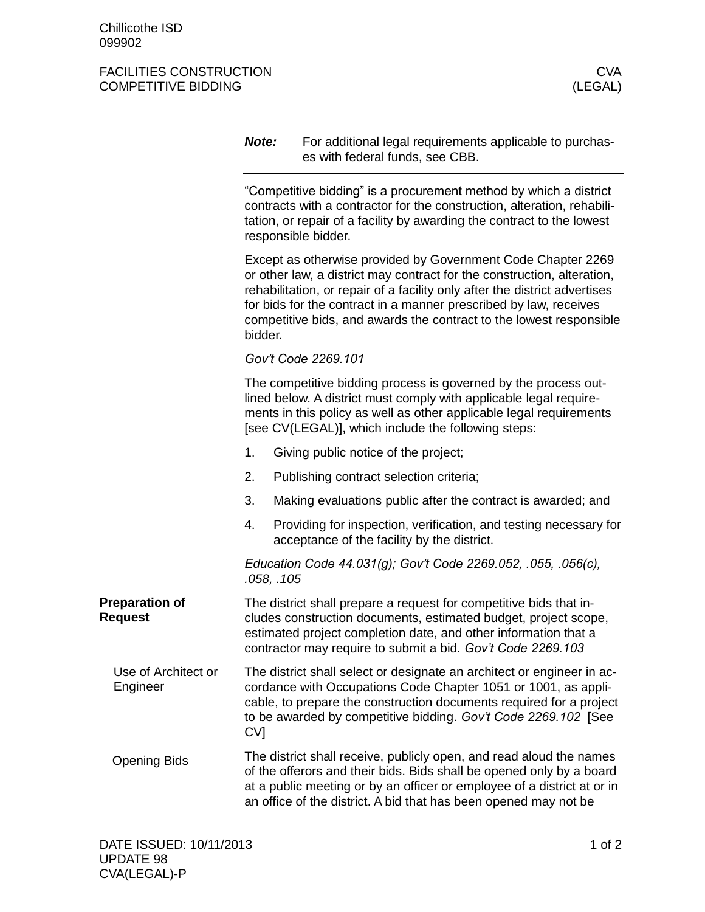## FACILITIES CONSTRUCTION COMPETITIVE BIDDING COMPETITIVE BIDDING COMPETITIVE BIDDING

|                                         | Note:                                                                                                                                                                                                                                                                                                | For additional legal requirements applicable to purchas-<br>es with federal funds, see CBB.                                                                                                                                                                                                                                                                       |  |
|-----------------------------------------|------------------------------------------------------------------------------------------------------------------------------------------------------------------------------------------------------------------------------------------------------------------------------------------------------|-------------------------------------------------------------------------------------------------------------------------------------------------------------------------------------------------------------------------------------------------------------------------------------------------------------------------------------------------------------------|--|
|                                         | "Competitive bidding" is a procurement method by which a district<br>contracts with a contractor for the construction, alteration, rehabili-<br>tation, or repair of a facility by awarding the contract to the lowest<br>responsible bidder.                                                        |                                                                                                                                                                                                                                                                                                                                                                   |  |
|                                         | bidder.                                                                                                                                                                                                                                                                                              | Except as otherwise provided by Government Code Chapter 2269<br>or other law, a district may contract for the construction, alteration,<br>rehabilitation, or repair of a facility only after the district advertises<br>for bids for the contract in a manner prescribed by law, receives<br>competitive bids, and awards the contract to the lowest responsible |  |
|                                         |                                                                                                                                                                                                                                                                                                      | Gov't Code 2269.101                                                                                                                                                                                                                                                                                                                                               |  |
|                                         |                                                                                                                                                                                                                                                                                                      | The competitive bidding process is governed by the process out-<br>lined below. A district must comply with applicable legal require-<br>ments in this policy as well as other applicable legal requirements<br>[see CV(LEGAL)], which include the following steps:                                                                                               |  |
|                                         | 1.                                                                                                                                                                                                                                                                                                   | Giving public notice of the project;                                                                                                                                                                                                                                                                                                                              |  |
|                                         | 2.                                                                                                                                                                                                                                                                                                   | Publishing contract selection criteria;                                                                                                                                                                                                                                                                                                                           |  |
|                                         | 3.                                                                                                                                                                                                                                                                                                   | Making evaluations public after the contract is awarded; and                                                                                                                                                                                                                                                                                                      |  |
|                                         | 4.                                                                                                                                                                                                                                                                                                   | Providing for inspection, verification, and testing necessary for<br>acceptance of the facility by the district.                                                                                                                                                                                                                                                  |  |
|                                         | .058, .105                                                                                                                                                                                                                                                                                           | Education Code 44.031(g); Gov't Code 2269.052, .055, .056(c),                                                                                                                                                                                                                                                                                                     |  |
| <b>Preparation of</b><br><b>Request</b> | The district shall prepare a request for competitive bids that in-<br>cludes construction documents, estimated budget, project scope,<br>estimated project completion date, and other information that a<br>contractor may require to submit a bid. Gov't Code 2269.103                              |                                                                                                                                                                                                                                                                                                                                                                   |  |
| Use of Architect or<br>Engineer         | The district shall select or designate an architect or engineer in ac-<br>cordance with Occupations Code Chapter 1051 or 1001, as appli-<br>cable, to prepare the construction documents required for a project<br>to be awarded by competitive bidding. Gov't Code 2269.102 [See<br>CV <sub>1</sub> |                                                                                                                                                                                                                                                                                                                                                                   |  |
| <b>Opening Bids</b>                     | The district shall receive, publicly open, and read aloud the names<br>of the offerors and their bids. Bids shall be opened only by a board<br>at a public meeting or by an officer or employee of a district at or in<br>an office of the district. A bid that has been opened may not be           |                                                                                                                                                                                                                                                                                                                                                                   |  |